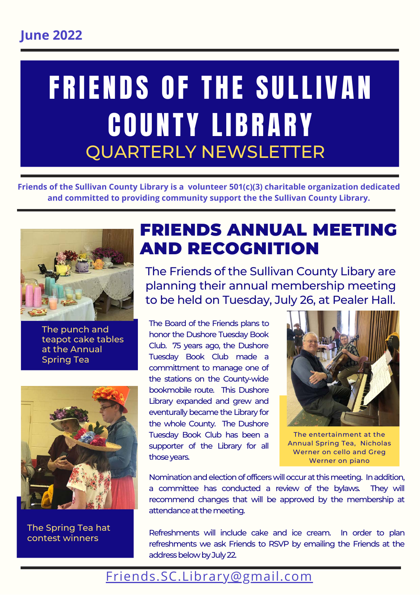# FRIENDS OF THE SULLIVAN C O U N T Y L I B R A R Y QUARTERLY NEWSLETTER

**Friends of the Sullivan County Library is a volunteer 501(c)(3) charitable organization dedicated and committed to providing community support the the Sullivan County Library.**



The punch and teapot cake tables at the Annual Spring Tea



The Spring Tea hat contest winners

### FRIENDS ANNUAL MEETING AND RECOGNITION

The Friends of the Sullivan County Libary are planning their annual membership meeting to be held on Tuesday, July 26, at Pealer Hall.

The Board of the Friends plans to honor the Dushore Tuesday Book Club. 75 years ago, the Dushore Tuesday Book Club made a committment to manage one of the stations on the County-wide bookmobile route. This Dushore Library expanded and grew and eventurally became the Library for the whole County. The Dushore Tuesday Book Club has been a supporter of the Library for all those years.



The entertainment at the Annual Spring Tea, Nicholas Werner on cello and Greg Werner on piano

Nomination and election of officers will occur at this meeting. In addition, a committee has conducted a review of the bylaws. They will recommend changes that will be approved by the membership at attendance at the meeting.

Refreshments will include cake and ice cream. In order to plan refreshments we ask Friends to RSVP by emailing the Friends at the address below by July 22.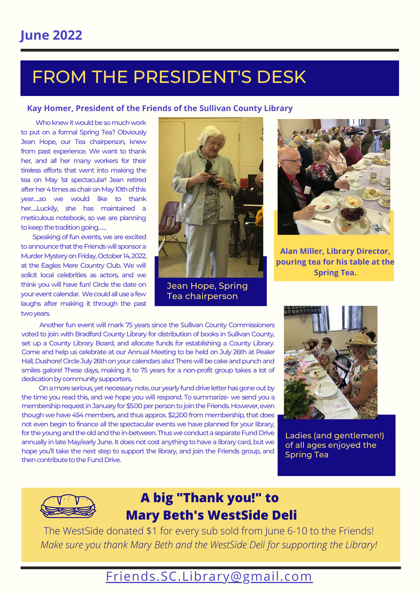### **June 2022**

# FROM THE PRESIDENT'S DESK

#### **Kay Homer, President of the Friends of the Sullivan County Library**

 Who knew it would be so much work to put on a formal Spring Tea? Obviously Jean Hope, our Tea chairperson, knew from past experience. We want to thank her, and all her many workers for their tireless efforts that went into making the tea on May 1st spectacular! Jean retired after her 4 times as chair on May 10th of this year…..so we would like to thank her…..Luckily, she has maintained a meticulous notebook, so we are planning to keep the tradition going……

 Speaking of fun events, we are excited to announce that the Friends will sponsor a Murder Mystery on Friday, October 14, 2022, at the Eagles Mere Country Club. We will solicit local celebrities as actors, and we think you will have fun! Circle the date on your event calendar. We could all use a few laughs after making it through the past two years.



Jean Hope, Spring Tea chairperson



**Alan Miller, Library Director, pouring tea for his table at the Spring Tea.**

 Another fun event will mark 75 years since the Sullivan County Commissioners voted to join with Bradford County Library for distribution of books in Sullivan County, set up a County Library Board, and allocate funds for establishing a County Library. Come and help us celebrate at our Annual Meeting to be held on July 26th at Pealer Hall, Dushore! Circle July 26th on your calendars also! There will be cake and punch and smiles galore! These days, making it to 75 years for a non-profit group takes a lot of dedication by community supporters.

 On a more serious, yet necessary note, our yearly fund drive letter has gone out by the time you read this, and we hope you will respond. To summarize- we send you a membership request in January for \$5.00 per person to join the Friends. However, even though we have 454 members, and thus approx. \$2,200 from membership, that does not even begin to finance all the spectacular events we have planned for your library, for the young and the old and the in-between. Thus we conduct a separate Fund Drive annually in late May/early June. It does not cost anything to have a library card, but we hope you'll take the next step to support the library, and join the Friends group, and then contribute to the Fund Drive.



Ladies (and gentlemen!) of all ages enjoyed the Spring Tea



### **A big "Thank you!" to Mary Beth's WestSide Deli**

The WestSide donated \$1 for every sub sold from June 6-10 to the Friends! *Make sure you thank Mary Beth and the WestSide Deli for supporting the Library!*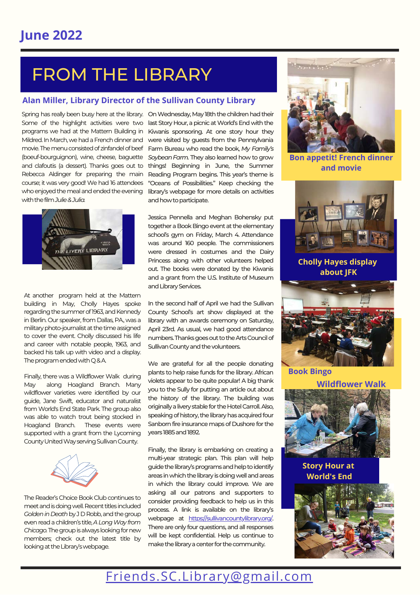# FROM THE LIBRARY

#### **Alan Miller, Library Director of the Sullivan County Library**

with the film *Julie & Julia.*



At another program held at the Mattern building in May, Cholly Hayes spoke regarding the summer of 1963, and Kennedy in Berlin. Our speaker, from Dallas, PA., was a military photo-journalist at the time assigned to cover the event. Cholly discussed his life and career with notable people, 1963, and backed his talk up with video and a display. The program ended with Q & A.

Finally, there was a Wildflower Walk during May along Hoagland Branch. Many wildflower varieties were identified by our guide, Jane Swift, educator and naturalist from World's End State Park. The group also was able to watch trout being stocked in Hoagland Branch. These events were supported with a grant from the Lycoming County United Way serving Sullivan County.



The Reader's Choice Book Club continues to meet and is doing well. Recent titles included *Golden in Death* by J D Robb, and the group even read a children's title, *A Long Way from Chicago.* The group is always looking for new members; check out the latest title by looking at the Library's webpage.

Spring has really been busy here at the library. On Wednesday, May 18th the children had their Some of the highlight activities were two last Story Hour, a picnic at World's End with the programs we had at the Mattern Building in Kiwanis sponsoring. At one story hour they Mildred. In March, we had a French dinner and were visited by guests from the Pennsylvania movie. The menu consisted of zinfandel of beef Farm Bureau who read the book, *My Family's* (boeuf-bourguignon), wine, cheese, baguette *Soybean Farm.* They also learned how to grow and clafoutis (a dessert). Thanks goes out to things! Beginning in June, the Summer Rebecca Aldinger for preparing the main Reading Program begins. This year's theme is course; it was very good! We had 16 attendees "Oceans of Possibilities." Keep checking the who enjoyed the meal and ended the evening library's webpage for more details on activities and how to participate.

> Jessica Pennella and Meghan Bohensky put together a Book Bingo event at the elementary school's gym on Friday, March 4. Attendance was around 160 people. The commissioners were dressed in costumes and the Dairy Princess along with other volunteers helped out. The books were donated by the Kiwanis and a grant from the U.S. Institute of Museum and Library Services.

> In the second half of April we had the Sullivan County School's art show displayed at the library with an awards ceremony on Saturday, April 23rd. As usual, we had good attendance numbers. Thanks goes out to the Arts Council of Sullivan County and the volunteers.

> We are grateful for all the people donating plants to help raise funds for the library. African violets appear to be quite popular! A big thank you to the Sully for putting an article out about the history of the library. The building was originally a livery stable for the Hotel Carroll. Also, speaking of history, the library has acquired four Sanborn fire insurance maps of Dushore for the years 1885 and 1892.

> Finally, the library is embarking on creating a multi-year strategic plan. This plan will help guide the library's programs and help to identify areas in which the library is doing well and areas in which the library could improve. We are asking all our patrons and supporters to consider providing feedback to help us in this process. A link is available on the library's webpage at [https://sullivancountylibrary.org/.](http://sullivancountylibrary.org/) There are only four questions, and all responses will be kept confidential. Help us continue to make the library a center for the community.



**Bon appetit! French dinner and movie**



**Cholly Hayes display about JFK**



**Wildflower Walk**



**Story Hour at World's End**

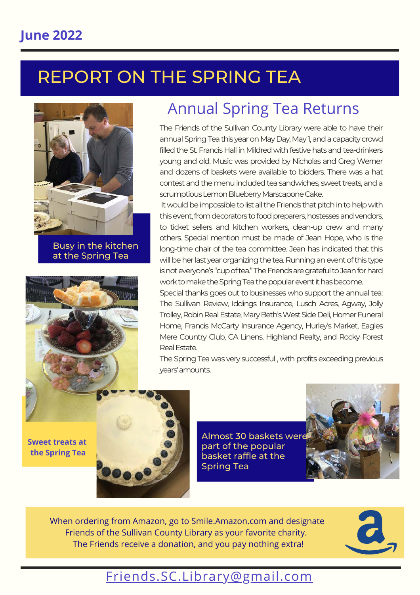# REPORT ON THE SPRING TEA



Busy in the kitchen at the Spring Tea



# Annual Spring Tea Returns

The Friends of the Sullivan County Library were able to have their annual Spring Tea this year on May Day, May 1, and a capacity crowd filled the St. Francis Hall in Mildred with festive hats and tea-drinkers young and old. Music was provided by Nicholas and Greg Werner and dozens of baskets were available to bidders. There was a hat contest and the menu included tea sandwiches, sweet treats, and a scrumptious Lemon Blueberry Marscapone Cake.

It would be impossible to list all the Friends that pitch in to help with this event, from decorators to food preparers, hostesses and vendors, to ticket sellers and kitchen workers, clean-up crew and many others. Special mention must be made of Jean Hope, who is the long-time chair of the tea committee. Jean has indicated that this will be her last year organizing the tea. Running an event of this type is not everyone's "cup of tea." The Friends are grateful to Jean for hard work to make the Spring Tea the popular event it has become.

Special thanks goes out to businesses who support the annual tea: The Sullivan Review, Iddings Insurance, Lusch Acres, Agway, Jolly Trolley, Robin Real Estate, Mary Beth's West Side Deli, Homer Funeral Home, Francis McCarty Insurance Agency, Hurley's Market, Eagles Mere Country Club, CA Linens, Highland Realty, and Rocky Forest Real Estate.

The Spring Tea was very successful , with profits exceeding previous years' amounts.

**Sweet treats at the Spring Tea**



Almost 30 baskets were part of the popular basket raffle at the Spring Tea



When ordering from Amazon, go to Smile.Amazon.com and designate Friends of the Sullivan County Library as your favorite charity. The Friends receive a donation, and you pay nothing extra!